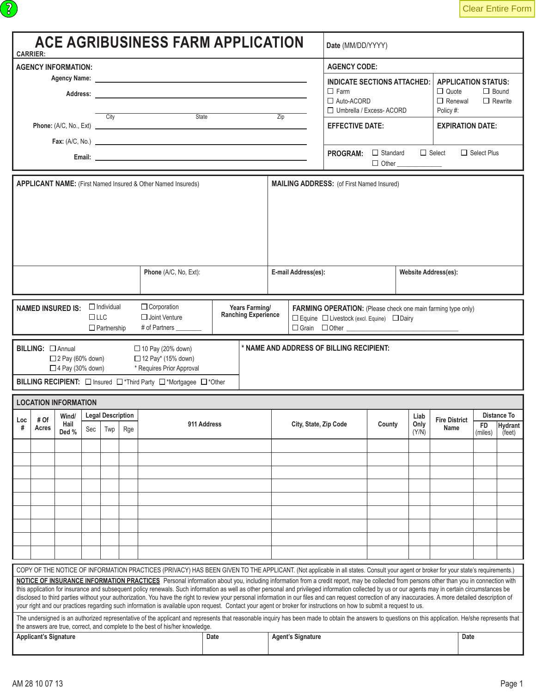|     | <b>CARRIER:</b>                                                                                                                                  |                                                    |     |                          |     | <b>ACE AGRIBUSINESS FARM APPLICATION</b>                                                                                                                                                                                                                                                                                                                                                                                                                                                                                                                                                                                                                                                                                                                                       |                                              |  |                  |                          | Date (MM/DD/YYYY)                                                                                                                                        |                                        |                      |                                                                           |                    |                                |
|-----|--------------------------------------------------------------------------------------------------------------------------------------------------|----------------------------------------------------|-----|--------------------------|-----|--------------------------------------------------------------------------------------------------------------------------------------------------------------------------------------------------------------------------------------------------------------------------------------------------------------------------------------------------------------------------------------------------------------------------------------------------------------------------------------------------------------------------------------------------------------------------------------------------------------------------------------------------------------------------------------------------------------------------------------------------------------------------------|----------------------------------------------|--|------------------|--------------------------|----------------------------------------------------------------------------------------------------------------------------------------------------------|----------------------------------------|----------------------|---------------------------------------------------------------------------|--------------------|--------------------------------|
|     | <b>AGENCY INFORMATION:</b>                                                                                                                       |                                                    |     |                          |     |                                                                                                                                                                                                                                                                                                                                                                                                                                                                                                                                                                                                                                                                                                                                                                                |                                              |  |                  |                          | <b>AGENCY CODE:</b>                                                                                                                                      |                                        |                      |                                                                           |                    |                                |
|     |                                                                                                                                                  |                                                    |     |                          |     |                                                                                                                                                                                                                                                                                                                                                                                                                                                                                                                                                                                                                                                                                                                                                                                |                                              |  |                  |                          | <b>INDICATE SECTIONS ATTACHED:</b><br>$\Box$ Farm<br>$\Box$ Auto-ACORD<br>$\Box$ Umbrella / Excess-ACORD                                                 |                                        |                      | <b>APPLICATION STATUS:</b><br>$\Box$ Quote<br>$\Box$ Renewal<br>Policy #: |                    | $\Box$ Bound<br>$\Box$ Rewrite |
|     |                                                                                                                                                  |                                                    |     | City                     |     | State<br>Phone: (A/C, No., Ext)                                                                                                                                                                                                                                                                                                                                                                                                                                                                                                                                                                                                                                                                                                                                                |                                              |  | $\overline{Zip}$ |                          | <b>EFFECTIVE DATE:</b>                                                                                                                                   |                                        |                      | <b>EXPIRATION DATE:</b>                                                   |                    |                                |
|     |                                                                                                                                                  |                                                    |     |                          |     | $\mathsf{Fax}: (\mathsf{A/C}, \mathsf{No.})$                                                                                                                                                                                                                                                                                                                                                                                                                                                                                                                                                                                                                                                                                                                                   |                                              |  |                  |                          |                                                                                                                                                          |                                        |                      |                                                                           |                    |                                |
|     |                                                                                                                                                  |                                                    |     |                          |     |                                                                                                                                                                                                                                                                                                                                                                                                                                                                                                                                                                                                                                                                                                                                                                                |                                              |  |                  |                          | <b>PROGRAM:</b>                                                                                                                                          | $\Box$ Standard<br>$\Box$ Other $\_\_$ |                      | $\Box$ Select                                                             | $\Box$ Select Plus |                                |
|     |                                                                                                                                                  |                                                    |     |                          |     | <b>APPLICANT NAME:</b> (First Named Insured & Other Named Insureds)<br>Phone (A/C, No, Ext):                                                                                                                                                                                                                                                                                                                                                                                                                                                                                                                                                                                                                                                                                   |                                              |  |                  | E-mail Address(es):      | <b>MAILING ADDRESS:</b> (of First Named Insured)                                                                                                         |                                        | Website Address(es): |                                                                           |                    |                                |
|     |                                                                                                                                                  |                                                    |     |                          |     |                                                                                                                                                                                                                                                                                                                                                                                                                                                                                                                                                                                                                                                                                                                                                                                |                                              |  |                  |                          |                                                                                                                                                          |                                        |                      |                                                                           |                    |                                |
|     | $\Box$ Individual<br>$\Box$ Corporation<br><b>NAMED INSURED IS:</b><br>$\Box$ LLC<br>$\Box$ Joint Venture<br># of Partners<br>$\Box$ Partnership |                                                    |     |                          |     |                                                                                                                                                                                                                                                                                                                                                                                                                                                                                                                                                                                                                                                                                                                                                                                | Years Farming/<br><b>Ranching Experience</b> |  |                  |                          | FARMING OPERATION: (Please check one main farming type only)<br>□ Equine □ Livestock (excl. Equine) □ Dairy<br>□ Grain □ Other <u>__________________</u> |                                        |                      |                                                                           |                    |                                |
|     | BILLING: <b>CAnnual</b>                                                                                                                          | $\Box$ 2 Pay (60% down)<br>$\Box$ 4 Pay (30% down) |     |                          |     | $\Box$ 10 Pay (20% down)<br>□ 12 Pay* (15% down)<br>* Requires Prior Approval<br>BILLING RECIPIENT: □ Insured □*Third Party □*Mortgagee □*Other                                                                                                                                                                                                                                                                                                                                                                                                                                                                                                                                                                                                                                |                                              |  |                  |                          | * NAME AND ADDRESS OF BILLING RECIPIENT:                                                                                                                 |                                        |                      |                                                                           |                    |                                |
|     | <b>LOCATION INFORMATION</b>                                                                                                                      |                                                    |     |                          |     |                                                                                                                                                                                                                                                                                                                                                                                                                                                                                                                                                                                                                                                                                                                                                                                |                                              |  |                  |                          |                                                                                                                                                          |                                        |                      |                                                                           |                    |                                |
| Loc | # Of                                                                                                                                             | Wind/<br>Hail                                      |     | <b>Legal Description</b> |     | 911 Address                                                                                                                                                                                                                                                                                                                                                                                                                                                                                                                                                                                                                                                                                                                                                                    |                                              |  |                  | City, State, Zip Code    |                                                                                                                                                          | County                                 | Liab<br>Only         | <b>Fire District</b>                                                      | FD.                | Distance To<br>∣Hydrant        |
| #   | Acres                                                                                                                                            | Ded %                                              | Sec | Twp                      | Rge |                                                                                                                                                                                                                                                                                                                                                                                                                                                                                                                                                                                                                                                                                                                                                                                |                                              |  |                  |                          |                                                                                                                                                          |                                        | (Y/N)                | Name                                                                      | (miles)            | (feet)                         |
|     |                                                                                                                                                  |                                                    |     |                          |     |                                                                                                                                                                                                                                                                                                                                                                                                                                                                                                                                                                                                                                                                                                                                                                                |                                              |  |                  |                          |                                                                                                                                                          |                                        |                      |                                                                           |                    |                                |
|     |                                                                                                                                                  |                                                    |     |                          |     |                                                                                                                                                                                                                                                                                                                                                                                                                                                                                                                                                                                                                                                                                                                                                                                |                                              |  |                  |                          |                                                                                                                                                          |                                        |                      |                                                                           |                    |                                |
|     |                                                                                                                                                  |                                                    |     |                          |     |                                                                                                                                                                                                                                                                                                                                                                                                                                                                                                                                                                                                                                                                                                                                                                                |                                              |  |                  |                          |                                                                                                                                                          |                                        |                      |                                                                           |                    |                                |
|     |                                                                                                                                                  |                                                    |     |                          |     |                                                                                                                                                                                                                                                                                                                                                                                                                                                                                                                                                                                                                                                                                                                                                                                |                                              |  |                  |                          |                                                                                                                                                          |                                        |                      |                                                                           |                    |                                |
|     |                                                                                                                                                  |                                                    |     |                          |     |                                                                                                                                                                                                                                                                                                                                                                                                                                                                                                                                                                                                                                                                                                                                                                                |                                              |  |                  |                          |                                                                                                                                                          |                                        |                      |                                                                           |                    |                                |
|     |                                                                                                                                                  |                                                    |     |                          |     |                                                                                                                                                                                                                                                                                                                                                                                                                                                                                                                                                                                                                                                                                                                                                                                |                                              |  |                  |                          |                                                                                                                                                          |                                        |                      |                                                                           |                    |                                |
|     |                                                                                                                                                  |                                                    |     |                          |     |                                                                                                                                                                                                                                                                                                                                                                                                                                                                                                                                                                                                                                                                                                                                                                                |                                              |  |                  |                          |                                                                                                                                                          |                                        |                      |                                                                           |                    |                                |
|     |                                                                                                                                                  |                                                    |     |                          |     | COPY OF THE NOTICE OF INFORMATION PRACTICES (PRIVACY) HAS BEEN GIVEN TO THE APPLICANT. (Not applicable in all states. Consult your agent or broker for your state's requirements.)                                                                                                                                                                                                                                                                                                                                                                                                                                                                                                                                                                                             |                                              |  |                  |                          |                                                                                                                                                          |                                        |                      |                                                                           |                    |                                |
|     |                                                                                                                                                  |                                                    |     |                          |     | NOTICE OF INSURANCE INFORMATION PRACTICES Personal information about you, including information from a credit report, may be collected from persons other than you in connection with<br>this application for insurance and subsequent policy renewals. Such information as well as other personal and privileged information collected by us or our agents may in certain circumstances be<br>disclosed to third parties without your authorization. You have the right to review your personal information in our files and can request correction of any inaccuracies. A more detailed description of<br>your right and our practices regarding such information is available upon request. Contact your agent or broker for instructions on how to submit a request to us. |                                              |  |                  |                          |                                                                                                                                                          |                                        |                      |                                                                           |                    |                                |
|     |                                                                                                                                                  |                                                    |     |                          |     | The undersigned is an authorized representative of the applicant and represents that reasonable inquiry has been made to obtain the answers to questions on this application. He/she represents that<br>the answers are true, correct, and complete to the best of his/her knowledge.                                                                                                                                                                                                                                                                                                                                                                                                                                                                                          |                                              |  |                  |                          |                                                                                                                                                          |                                        |                      |                                                                           |                    |                                |
|     | <b>Applicant's Signature</b>                                                                                                                     |                                                    |     |                          |     |                                                                                                                                                                                                                                                                                                                                                                                                                                                                                                                                                                                                                                                                                                                                                                                | Date                                         |  |                  | <b>Agent's Signature</b> |                                                                                                                                                          |                                        |                      |                                                                           | Date               |                                |

 $\odot$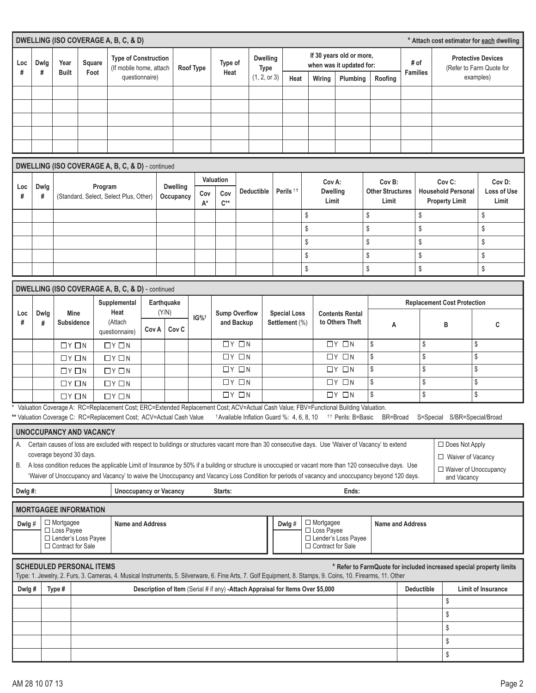|          | DWELLING (ISO COVERAGE A, B, C, & D)<br>* Attach cost estimator for each dwelling |                                              |                                    |                                                                                                                                                                                                            |       |                                                                                 |           |                 |                                          |                             |   |                      |          |                                  |                                                   |                                                                                              |                         |                   |                                                                     |                                       |
|----------|-----------------------------------------------------------------------------------|----------------------------------------------|------------------------------------|------------------------------------------------------------------------------------------------------------------------------------------------------------------------------------------------------------|-------|---------------------------------------------------------------------------------|-----------|-----------------|------------------------------------------|-----------------------------|---|----------------------|----------|----------------------------------|---------------------------------------------------|----------------------------------------------------------------------------------------------|-------------------------|-------------------|---------------------------------------------------------------------|---------------------------------------|
|          |                                                                                   |                                              |                                    | <b>Type of Construction</b>                                                                                                                                                                                |       |                                                                                 |           |                 |                                          | <b>Dwelling</b>             |   |                      |          |                                  | If 30 years old or more,                          |                                                                                              |                         |                   |                                                                     | <b>Protective Devices</b>             |
| Loc<br># | Dwlg<br>#                                                                         | Year<br><b>Built</b>                         | Square<br>Foot                     | (If mobile home, attach<br>questionnaire)                                                                                                                                                                  |       |                                                                                 | Roof Type | Type of<br>Heat |                                          | <b>Type</b><br>(1, 2, or 3) |   |                      |          |                                  | when was it updated for:                          |                                                                                              | # of<br><b>Families</b> |                   |                                                                     | (Refer to Farm Quote for<br>examples) |
|          |                                                                                   |                                              |                                    |                                                                                                                                                                                                            |       |                                                                                 |           |                 |                                          |                             |   | Heat                 |          | Wiring                           | Plumbing                                          | Roofing                                                                                      |                         |                   |                                                                     |                                       |
|          |                                                                                   |                                              |                                    |                                                                                                                                                                                                            |       |                                                                                 |           |                 |                                          |                             |   |                      |          |                                  |                                                   |                                                                                              |                         |                   |                                                                     |                                       |
|          |                                                                                   |                                              |                                    |                                                                                                                                                                                                            |       |                                                                                 |           |                 |                                          |                             |   |                      |          |                                  |                                                   |                                                                                              |                         |                   |                                                                     |                                       |
|          |                                                                                   |                                              |                                    |                                                                                                                                                                                                            |       |                                                                                 |           |                 |                                          |                             |   |                      |          |                                  |                                                   |                                                                                              |                         |                   |                                                                     |                                       |
|          |                                                                                   |                                              |                                    |                                                                                                                                                                                                            |       |                                                                                 |           |                 |                                          |                             |   |                      |          |                                  |                                                   |                                                                                              |                         |                   |                                                                     |                                       |
|          |                                                                                   |                                              |                                    | DWELLING (ISO COVERAGE A, B, C, & D) - continued                                                                                                                                                           |       |                                                                                 |           |                 |                                          |                             |   |                      |          |                                  |                                                   |                                                                                              |                         |                   |                                                                     |                                       |
|          |                                                                                   |                                              |                                    |                                                                                                                                                                                                            |       |                                                                                 |           | Valuation       |                                          |                             |   |                      |          | Cov A:                           |                                                   | Cov B:                                                                                       |                         |                   | Cov <sub>C:</sub>                                                   | Cov D:                                |
| Loc<br># | Dwlg<br>#                                                                         |                                              |                                    | Program<br>(Standard, Select, Select Plus, Other)                                                                                                                                                          |       | <b>Dwelling</b><br>Occupancy                                                    | Cov       | Cov             |                                          | <b>Deductible</b>           |   | Perils <sup>11</sup> |          | <b>Dwelling</b>                  |                                                   | <b>Other Structures</b>                                                                      |                         |                   | <b>Household Personal</b>                                           | Loss of Use                           |
|          |                                                                                   |                                              |                                    |                                                                                                                                                                                                            |       |                                                                                 | A*        | $C^{**}$        |                                          |                             |   |                      |          | Limit                            |                                                   | Limit                                                                                        |                         |                   | <b>Property Limit</b>                                               | Limit                                 |
|          |                                                                                   |                                              |                                    |                                                                                                                                                                                                            |       |                                                                                 |           |                 |                                          |                             |   |                      | \$       |                                  |                                                   | \$                                                                                           |                         | \$                |                                                                     | \$                                    |
|          |                                                                                   |                                              |                                    |                                                                                                                                                                                                            |       |                                                                                 |           |                 |                                          |                             |   |                      | \$       |                                  |                                                   | \$                                                                                           |                         | \$                |                                                                     | \$                                    |
|          |                                                                                   |                                              |                                    |                                                                                                                                                                                                            |       |                                                                                 |           |                 |                                          |                             |   |                      | \$       |                                  |                                                   | \$                                                                                           |                         | \$                |                                                                     | \$                                    |
|          |                                                                                   |                                              |                                    |                                                                                                                                                                                                            |       |                                                                                 |           |                 |                                          |                             |   |                      | \$<br>\$ |                                  |                                                   | \$<br>\$                                                                                     |                         | \$<br>\$          |                                                                     | \$<br>\$                              |
|          |                                                                                   |                                              |                                    |                                                                                                                                                                                                            |       |                                                                                 |           |                 |                                          |                             |   |                      |          |                                  |                                                   |                                                                                              |                         |                   |                                                                     |                                       |
|          |                                                                                   |                                              |                                    | DWELLING (ISO COVERAGE A, B, C, & D) - continued                                                                                                                                                           |       |                                                                                 |           |                 |                                          |                             |   |                      |          |                                  |                                                   |                                                                                              |                         |                   |                                                                     |                                       |
| Loc      | Dwlg                                                                              | <b>Mine</b>                                  | Supplemental<br>Earthquake<br>Heat |                                                                                                                                                                                                            |       |                                                                                 |           |                 |                                          |                             |   |                      |          |                                  | <b>Replacement Cost Protection</b>                |                                                                                              |                         |                   |                                                                     |                                       |
| #        | #                                                                                 | <b>Subsidence</b>                            |                                    | (Y/N)<br><b>Sump Overflow</b><br><b>Special Loss</b><br><b>Contents Rental</b><br>$IG\%^{\dagger}$<br>(Attach<br>to Others Theft<br>and Backup<br>Settlement (%)                                           |       |                                                                                 |           |                 |                                          |                             | Α | B                    |          |                                  | C                                                 |                                                                                              |                         |                   |                                                                     |                                       |
|          |                                                                                   |                                              |                                    | questionnaire)                                                                                                                                                                                             | Cov A | Cov <sub>C</sub>                                                                |           |                 |                                          |                             |   |                      |          |                                  |                                                   |                                                                                              | \$                      |                   |                                                                     |                                       |
|          |                                                                                   | $\Box Y \Box N$<br>$\Box Y \Box N$           |                                    | $\Box Y \Box N$<br>$\Box Y \Box N$                                                                                                                                                                         |       |                                                                                 |           |                 | $\Box Y \Box N$<br>$\Box$ $Y$ $\Box$ $N$ |                             |   |                      |          |                                  | $\Box Y \Box N$<br>$\Box$ $Y$ $\Box$ $N$          | \$<br>\$                                                                                     |                         | \$                |                                                                     | \$<br>\$                              |
|          |                                                                                   | $\Box Y \Box N$                              |                                    | $\Box Y \Box N$                                                                                                                                                                                            |       |                                                                                 |           |                 | $\Box$ $Y$ $\Box$ $N$                    |                             |   |                      |          |                                  | $\Box$ $Y$ $\Box$ $N$                             | \$                                                                                           |                         | \$                |                                                                     | \$                                    |
|          |                                                                                   | $\Box Y \Box N$                              |                                    | $\Box Y \Box N$                                                                                                                                                                                            |       |                                                                                 |           |                 | $\Box$ $Y$ $\Box$ $N$                    |                             |   |                      |          |                                  | $\Box$ $Y$ $\Box$ $N$                             | \$                                                                                           |                         | \$                |                                                                     | \$                                    |
|          |                                                                                   | $\Box Y \Box N$                              |                                    | $\Box Y \Box N$                                                                                                                                                                                            |       |                                                                                 |           |                 | $\Box Y \Box N$                          |                             |   |                      |          |                                  | $\Box Y \Box N$                                   | \$                                                                                           |                         | \$                |                                                                     | \$                                    |
|          |                                                                                   |                                              |                                    | Valuation Coverage A: RC=Replacement Cost; ERC=Extended Replacement Cost; ACV=Actual Cash Value; FBV=Functional Building Valuation.<br>** Valuation Coverage C: RC=Replacement Cost; ACV=Actual Cash Value |       |                                                                                 |           |                 |                                          |                             |   |                      |          |                                  |                                                   | <sup>†</sup> Available Inflation Guard %: 4, 6, 8, 10 <sup>+†</sup> Perils: B=Basic BR=Broad |                         |                   | S=Special S/BR=Special/Broad                                        |                                       |
|          |                                                                                   | <b>UNOCCUPANCY AND VACANCY</b>               |                                    |                                                                                                                                                                                                            |       |                                                                                 |           |                 |                                          |                             |   |                      |          |                                  |                                                   |                                                                                              |                         |                   |                                                                     |                                       |
|          |                                                                                   |                                              |                                    | A. Certain causes of loss are excluded with respect to buildings or structures vacant more than 30 consecutive days. Use 'Waiver of Vacancy' to extend                                                     |       |                                                                                 |           |                 |                                          |                             |   |                      |          |                                  |                                                   |                                                                                              |                         |                   | □ Does Not Apply                                                    |                                       |
|          |                                                                                   | coverage beyond 30 days.                     |                                    |                                                                                                                                                                                                            |       |                                                                                 |           |                 |                                          |                             |   |                      |          |                                  |                                                   |                                                                                              |                         |                   | □ Waiver of Vacancy                                                 |                                       |
|          |                                                                                   |                                              |                                    | B. A loss condition reduces the applicable Limit of Insurance by 50% if a building or structure is unoccupied or vacant more than 120 consecutive days. Use                                                |       |                                                                                 |           |                 |                                          |                             |   |                      |          |                                  |                                                   |                                                                                              |                         |                   | □ Waiver of Unoccupancy                                             |                                       |
|          |                                                                                   |                                              |                                    | 'Waiver of Unoccupancy and Vacancy' to waive the Unoccupancy and Vacancy Loss Condition for periods of vacancy and unoccupancy beyond 120 days.<br><b>Unoccupancy or Vacancy</b>                           |       |                                                                                 |           |                 |                                          |                             |   |                      |          |                                  | Ends:                                             |                                                                                              |                         |                   | and Vacancy                                                         |                                       |
| Dwlg#:   |                                                                                   |                                              |                                    |                                                                                                                                                                                                            |       |                                                                                 |           | Starts:         |                                          |                             |   |                      |          |                                  |                                                   |                                                                                              |                         |                   |                                                                     |                                       |
|          |                                                                                   | <b>MORTGAGEE INFORMATION</b>                 |                                    |                                                                                                                                                                                                            |       |                                                                                 |           |                 |                                          |                             |   |                      |          |                                  |                                                   |                                                                                              |                         |                   |                                                                     |                                       |
| Dwlg#    |                                                                                   | $\Box$ Mortgagee<br>$\Box$ Loss Payee        |                                    | <b>Name and Address</b>                                                                                                                                                                                    |       |                                                                                 |           |                 |                                          |                             |   | Dwlg#                |          | $\Box$ Mortgagee<br>□ Loss Payee |                                                   | <b>Name and Address</b>                                                                      |                         |                   |                                                                     |                                       |
|          |                                                                                   | □ Lender's Loss Payee<br>□ Contract for Sale |                                    |                                                                                                                                                                                                            |       |                                                                                 |           |                 |                                          |                             |   |                      |          |                                  | □ Lender's Loss Payee<br>$\Box$ Contract for Sale |                                                                                              |                         |                   |                                                                     |                                       |
|          |                                                                                   |                                              |                                    |                                                                                                                                                                                                            |       |                                                                                 |           |                 |                                          |                             |   |                      |          |                                  |                                                   |                                                                                              |                         |                   |                                                                     |                                       |
|          |                                                                                   | <b>SCHEDULED PERSONAL ITEMS</b>              |                                    | Type: 1. Jewelry, 2. Furs, 3. Cameras, 4. Musical Instruments, 5. Silverware, 6. Fine Arts, 7. Golf Equipment, 8. Stamps, 9. Coins, 10. Firearms, 11. Other                                                |       |                                                                                 |           |                 |                                          |                             |   |                      |          |                                  |                                                   |                                                                                              |                         |                   | * Refer to FarmQuote for included increased special property limits |                                       |
| Dwlg#    |                                                                                   | Type #                                       |                                    |                                                                                                                                                                                                            |       | Description of Item (Serial # if any) - Attach Appraisal for Items Over \$5,000 |           |                 |                                          |                             |   |                      |          |                                  |                                                   |                                                                                              |                         | <b>Deductible</b> |                                                                     | <b>Limit of Insurance</b>             |
|          |                                                                                   |                                              |                                    |                                                                                                                                                                                                            |       |                                                                                 |           |                 |                                          |                             |   |                      |          |                                  |                                                   |                                                                                              |                         |                   | \$                                                                  |                                       |
|          |                                                                                   |                                              |                                    |                                                                                                                                                                                                            |       |                                                                                 |           |                 |                                          |                             |   |                      |          |                                  |                                                   |                                                                                              |                         |                   | \$                                                                  |                                       |
|          |                                                                                   |                                              |                                    |                                                                                                                                                                                                            |       |                                                                                 |           |                 |                                          |                             |   |                      |          |                                  |                                                   |                                                                                              |                         |                   | \$                                                                  |                                       |
|          |                                                                                   |                                              | \$                                 |                                                                                                                                                                                                            |       |                                                                                 |           |                 |                                          |                             |   |                      |          |                                  |                                                   |                                                                                              |                         |                   |                                                                     |                                       |
|          |                                                                                   |                                              |                                    |                                                                                                                                                                                                            |       |                                                                                 |           |                 |                                          |                             |   |                      |          |                                  |                                                   | \$                                                                                           |                         |                   |                                                                     |                                       |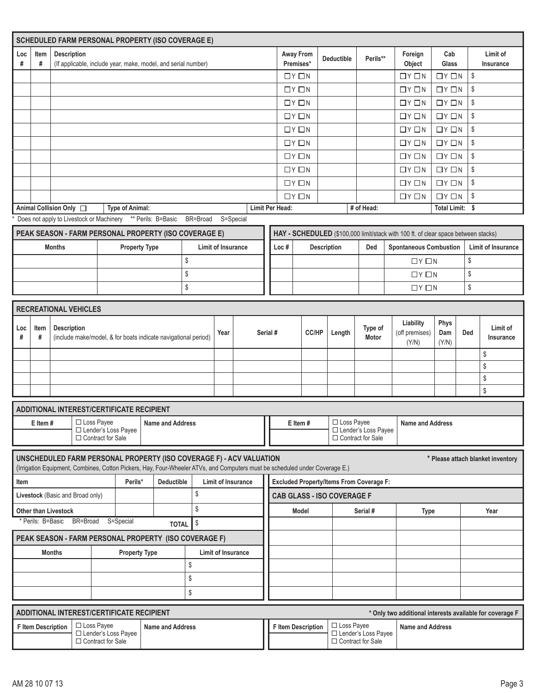|          |                 | <b>SCHEDULED FARM PERSONAL PROPERTY (ISO COVERAGE E)</b>                                                                                                                                                 |                     |                        |                         |          |                    |                           |  |                 |                        |                                                 |                                              |                                                                                    |                             |                         |                                                          |
|----------|-----------------|----------------------------------------------------------------------------------------------------------------------------------------------------------------------------------------------------------|---------------------|------------------------|-------------------------|----------|--------------------|---------------------------|--|-----------------|------------------------|-------------------------------------------------|----------------------------------------------|------------------------------------------------------------------------------------|-----------------------------|-------------------------|----------------------------------------------------------|
| Loc<br># | Item<br>#       | Description<br>(If applicable, include year, make, model, and serial number)                                                                                                                             |                     |                        |                         |          |                    |                           |  |                 | Away From<br>Premises* | <b>Deductible</b>                               | Perils**                                     | Foreign<br>Object                                                                  | Cab<br>Glass                |                         | Limit of<br>Insurance                                    |
|          |                 |                                                                                                                                                                                                          |                     |                        |                         |          |                    |                           |  |                 | $\Box Y \Box N$        |                                                 |                                              | $\Box Y \Box N$                                                                    | $\Box$ $\vee$ $\Box$ $\vee$ | $\mathbb{S}$            |                                                          |
|          |                 |                                                                                                                                                                                                          |                     |                        |                         |          |                    |                           |  |                 | $\Box Y \Box N$        |                                                 |                                              | $\Box Y \Box N$                                                                    | $\Box Y \Box N$             | \$                      |                                                          |
|          |                 |                                                                                                                                                                                                          |                     |                        |                         |          |                    |                           |  |                 | $\Box Y \Box N$        |                                                 |                                              | $\Box Y \Box N$                                                                    | $\Box Y \Box N$             | $\sqrt[6]{\frac{1}{2}}$ |                                                          |
|          |                 |                                                                                                                                                                                                          |                     |                        |                         |          |                    |                           |  |                 | $\Box Y \Box N$        |                                                 |                                              | $\Box Y \Box N$                                                                    | $\Box Y \Box N$             | \$                      |                                                          |
|          |                 |                                                                                                                                                                                                          |                     |                        |                         |          |                    |                           |  |                 | $\Box Y \Box N$        |                                                 |                                              | $\Box Y \Box N$                                                                    | $\Box$ $\vee$ $\Box$ $\vee$ | \$                      |                                                          |
|          |                 |                                                                                                                                                                                                          |                     |                        |                         |          |                    |                           |  |                 | $\Box Y \Box N$        |                                                 |                                              | $\Box Y \Box N$                                                                    | $\Box Y \Box N$             | \$                      |                                                          |
|          |                 |                                                                                                                                                                                                          |                     |                        |                         |          |                    |                           |  |                 | $\Box Y \Box N$        |                                                 |                                              | $\Box Y \Box N$                                                                    | $\Box Y \Box N$             | \$                      |                                                          |
|          |                 |                                                                                                                                                                                                          |                     |                        |                         |          |                    |                           |  |                 | $\Box Y \Box N$        |                                                 |                                              | $\Box Y \Box N$                                                                    | $\Box Y \Box N$             | \$                      |                                                          |
|          |                 |                                                                                                                                                                                                          |                     |                        |                         |          |                    |                           |  |                 | $\Box$ $Y$ $\Box$ $N$  |                                                 |                                              | $\Box Y \Box N$                                                                    | $\Box Y \Box N$             | \$                      |                                                          |
|          |                 |                                                                                                                                                                                                          |                     |                        |                         |          |                    |                           |  |                 | $\Box Y \Box N$        |                                                 |                                              | $\Box Y \Box N$                                                                    | $\Box Y \Box N$             | \$                      |                                                          |
|          |                 | Animal Collision Only □<br>Does not apply to Livestock or Machinery ** Perils: B=Basic BR=Broad                                                                                                          |                     | <b>Type of Animal:</b> |                         |          |                    | S=Special                 |  | Limit Per Head: |                        |                                                 | # of Head:                                   |                                                                                    | Total Limit: \$             |                         |                                                          |
|          |                 |                                                                                                                                                                                                          |                     |                        |                         |          |                    |                           |  |                 |                        |                                                 |                                              |                                                                                    |                             |                         |                                                          |
|          |                 | PEAK SEASON - FARM PERSONAL PROPERTY (ISO COVERAGE E)                                                                                                                                                    |                     |                        |                         |          |                    |                           |  |                 |                        |                                                 |                                              | HAY - SCHEDULED (\$100,000 limit/stack with 100 ft. of clear space between stacks) |                             |                         |                                                          |
|          |                 | <b>Months</b>                                                                                                                                                                                            |                     | <b>Property Type</b>   |                         |          | Limit of Insurance |                           |  | Loc#            |                        | <b>Description</b>                              | Ded                                          | <b>Spontaneous Combustion</b>                                                      |                             |                         | Limit of Insurance                                       |
|          |                 |                                                                                                                                                                                                          |                     |                        |                         | \$<br>\$ |                    |                           |  |                 |                        |                                                 |                                              | $\Box Y \Box N$                                                                    |                             | \$<br>\$                |                                                          |
|          |                 |                                                                                                                                                                                                          |                     |                        |                         |          |                    |                           |  |                 |                        |                                                 |                                              | $\Box Y \Box N$                                                                    |                             |                         |                                                          |
|          |                 |                                                                                                                                                                                                          |                     |                        |                         | \$       |                    |                           |  |                 |                        |                                                 |                                              | $\Box$ $Y$ $\Box$ $N$                                                              |                             | \$                      |                                                          |
|          |                 | <b>RECREATIONAL VEHICLES</b>                                                                                                                                                                             |                     |                        |                         |          |                    |                           |  |                 |                        |                                                 |                                              |                                                                                    |                             |                         |                                                          |
|          | Item            | <b>Description</b>                                                                                                                                                                                       |                     |                        |                         |          |                    |                           |  |                 |                        |                                                 |                                              | Liability                                                                          | Phys                        |                         | Limit of                                                 |
| Loc<br># | #               | (include make/model, & for boats indicate navigational period)                                                                                                                                           |                     |                        |                         |          | Year               |                           |  | Serial #        | CC/HP                  | Length                                          | Type of<br>Motor                             | (off premises)                                                                     | Dam                         | Ded                     | Insurance                                                |
|          |                 |                                                                                                                                                                                                          |                     |                        |                         |          |                    |                           |  |                 |                        |                                                 |                                              | (Y/N)                                                                              | (Y/N)                       |                         | \$                                                       |
|          |                 |                                                                                                                                                                                                          |                     |                        |                         |          |                    |                           |  |                 |                        |                                                 |                                              |                                                                                    |                             |                         | \$                                                       |
|          |                 |                                                                                                                                                                                                          |                     |                        |                         |          |                    |                           |  |                 |                        |                                                 |                                              |                                                                                    |                             |                         | \$                                                       |
|          |                 |                                                                                                                                                                                                          |                     |                        |                         |          |                    |                           |  |                 |                        |                                                 |                                              |                                                                                    |                             |                         | \$                                                       |
|          |                 |                                                                                                                                                                                                          |                     |                        |                         |          |                    |                           |  |                 |                        |                                                 |                                              |                                                                                    |                             |                         |                                                          |
|          |                 | ADDITIONAL INTEREST/CERTIFICATE RECIPIENT                                                                                                                                                                | $\Box$ Loss Payee   |                        |                         |          |                    |                           |  |                 |                        | □ Loss Payee                                    |                                              |                                                                                    |                             |                         |                                                          |
|          | $E$ Item #      |                                                                                                                                                                                                          | □ Contract for Sale | □ Lender's Loss Payee  | <b>Name and Address</b> |          |                    |                           |  |                 | E Item#                |                                                 | □ Lender's Loss Payee<br>□ Contract for Sale | <b>Name and Address</b>                                                            |                             |                         |                                                          |
|          |                 | UNSCHEDULED FARM PERSONAL PROPERTY (ISO COVERAGE F) - ACV VALUATION                                                                                                                                      |                     |                        |                         |          |                    |                           |  |                 |                        |                                                 |                                              |                                                                                    |                             |                         | * Please attach blanket inventory                        |
|          |                 | (Irrigation Equipment, Combines, Cotton Pickers, Hay, Four-Wheeler ATVs, and Computers must be scheduled under Coverage E.)                                                                              |                     |                        |                         |          |                    |                           |  |                 |                        |                                                 |                                              |                                                                                    |                             |                         |                                                          |
| ltem     |                 |                                                                                                                                                                                                          |                     | Perils*                | <b>Deductible</b>       |          |                    | <b>Limit of Insurance</b> |  |                 |                        | <b>Excluded Property/Items From Coverage F:</b> |                                              |                                                                                    |                             |                         |                                                          |
|          |                 | Livestock (Basic and Broad only)                                                                                                                                                                         |                     |                        |                         | \$       |                    |                           |  |                 |                        | <b>CAB GLASS - ISO COVERAGE F</b>               |                                              |                                                                                    |                             |                         |                                                          |
|          |                 | <b>Other than Livestock</b>                                                                                                                                                                              |                     |                        |                         | \$       |                    |                           |  |                 | Model                  |                                                 | Serial #                                     | <b>Type</b>                                                                        |                             |                         | Year                                                     |
|          | Perils: B=Basic | BR=Broad S=Special                                                                                                                                                                                       |                     |                        | <b>TOTAL</b>            | \$       |                    |                           |  |                 |                        |                                                 |                                              |                                                                                    |                             |                         |                                                          |
|          |                 | PEAK SEASON - FARM PERSONAL PROPERTY (ISO COVERAGE F)                                                                                                                                                    |                     |                        |                         |          |                    |                           |  |                 |                        |                                                 |                                              |                                                                                    |                             |                         |                                                          |
|          |                 | <b>Months</b><br><b>Property Type</b><br>Limit of Insurance                                                                                                                                              |                     |                        |                         |          |                    |                           |  |                 |                        |                                                 |                                              |                                                                                    |                             |                         |                                                          |
|          |                 |                                                                                                                                                                                                          |                     |                        |                         | \$       |                    |                           |  |                 |                        |                                                 |                                              |                                                                                    |                             |                         |                                                          |
|          |                 |                                                                                                                                                                                                          |                     |                        |                         | \$       |                    |                           |  |                 |                        |                                                 |                                              |                                                                                    |                             |                         |                                                          |
|          |                 |                                                                                                                                                                                                          |                     |                        |                         | $\,$     |                    |                           |  |                 |                        |                                                 |                                              |                                                                                    |                             |                         |                                                          |
|          |                 |                                                                                                                                                                                                          |                     |                        |                         |          |                    |                           |  |                 |                        |                                                 |                                              |                                                                                    |                             |                         |                                                          |
|          |                 | ADDITIONAL INTEREST/CERTIFICATE RECIPIENT                                                                                                                                                                |                     |                        |                         |          |                    |                           |  |                 |                        |                                                 |                                              |                                                                                    |                             |                         | * Only two additional interests available for coverage F |
|          |                 | $\Box$ Loss Payee<br>$\Box$ Loss Payee<br><b>Name and Address</b><br><b>F</b> Item Description<br><b>Name and Address</b><br><b>F</b> Item Description<br>□ Lender's Loss Payee<br>□ Lender's Loss Payee |                     |                        |                         |          |                    |                           |  |                 |                        |                                                 |                                              |                                                                                    |                             |                         |                                                          |

□ Contract for Sale

□ Contract for Sale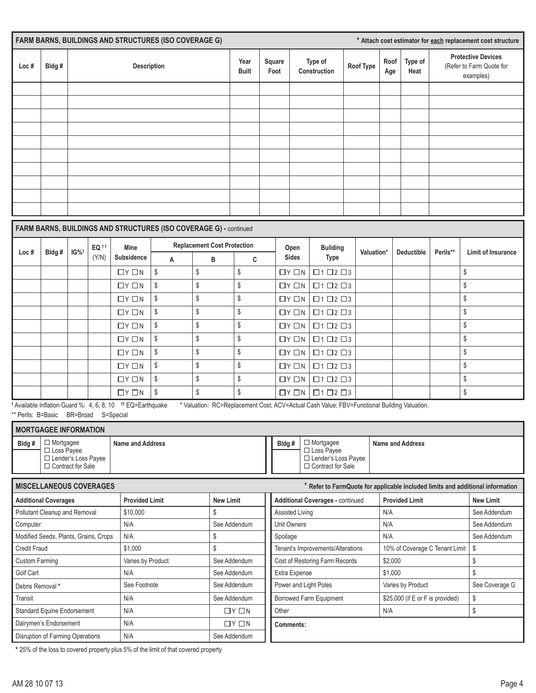| <b>FARM BARNS, BUILDINGS AND STRUCTURES (ISO COVERAGE G)</b> |       |             |                      |                |                         |           |             |                 | * Attach cost estimator for each replacement cost structure        |
|--------------------------------------------------------------|-------|-------------|----------------------|----------------|-------------------------|-----------|-------------|-----------------|--------------------------------------------------------------------|
| Loc#                                                         | Bldg# | Description | Year<br><b>Built</b> | Square<br>Foot | Type of<br>Construction | Roof Type | Roof<br>Age | Type of<br>Heat | <b>Protective Devices</b><br>(Refer to Farm Quote for<br>examples) |
|                                                              |       |             |                      |                |                         |           |             |                 |                                                                    |
|                                                              |       |             |                      |                |                         |           |             |                 |                                                                    |
|                                                              |       |             |                      |                |                         |           |             |                 |                                                                    |
|                                                              |       |             |                      |                |                         |           |             |                 |                                                                    |
|                                                              |       |             |                      |                |                         |           |             |                 |                                                                    |
|                                                              |       |             |                      |                |                         |           |             |                 |                                                                    |
|                                                              |       |             |                      |                |                         |           |             |                 |                                                                    |
|                                                              |       |             |                      |                |                         |           |             |                 |                                                                    |
|                                                              |       |             |                      |                |                         |           |             |                 |                                                                    |
|                                                              |       |             |                      |                |                         |           |             |                 |                                                                    |
|                                                              |       |             |                      |                |                         |           |             |                 |                                                                    |

## **FARM BARNS, BUILDINGS AND STRUCTURES (ISO COVERAGE G) -** continued

|      | Bldg#<br>$IG\%^{\dagger}$ | EQ <sup>tt</sup> | Mine                          |    | <b>Replacement Cost Protection</b> |    | Open                          | <b>Building</b>            |            |                   |          |                           |
|------|---------------------------|------------------|-------------------------------|----|------------------------------------|----|-------------------------------|----------------------------|------------|-------------------|----------|---------------------------|
| Loc# |                           | (Y/N)            | Subsidence                    | A  | в                                  | C  | <b>Sides</b>                  | Type                       | Valuation* | <b>Deductible</b> | Perils** | <b>Limit of Insurance</b> |
|      |                           |                  | $\Box$ $Y$ $\Box$ $N$         | \$ | S                                  | \$ | $\Box$ $\vee$ $\Box$ $\wedge$ | $\Box 1 \Box 2 \Box 3$     |            |                   |          | \$                        |
|      |                           |                  | $\Box$ $Y$ $\Box$ $N$         | \$ | \$                                 | \$ | $\Box Y \Box N$               | $\Box$ 1 $\Box$ 2 $\Box$ 3 |            |                   |          | \$                        |
|      |                           |                  | $\Box$ $Y$ $\Box$ $N$         | \$ | \$                                 | S  | $\Box$ $\vee$ $\Box$ $\wedge$ | $\Box$ 1 $\Box$ 2 $\Box$ 3 |            |                   |          | \$                        |
|      |                           |                  | $\Box$ $\vee$ $\Box$ $\wedge$ | \$ | \$                                 | S  | $\Box$ $\vee$ $\Box$ $\wedge$ | $\Box$ 1 $\Box$ 2 $\Box$ 3 |            |                   |          | \$                        |
|      |                           |                  | $\Box$ $Y$ $\Box$ $N$         | \$ | \$                                 | Ŝ  | $\Box Y \Box N$               | $\Box 1 \Box 2 \Box 3$     |            |                   |          | \$                        |
|      |                           |                  | $\Box$ $Y$ $\Box$ $N$         | \$ | \$                                 | Ŝ  | $\Box Y \Box N$               | $\Box$ 1 $\Box$ 2 $\Box$ 3 |            |                   |          | \$                        |
|      |                           |                  | $\Box$ $Y$ $\Box$ $N$         | \$ | \$                                 | \$ | $\Box Y \Box N$               | $\Box$ 1 $\Box$ 2 $\Box$ 3 |            |                   |          | \$                        |
|      |                           |                  | $\Box Y \Box N$               | \$ | \$                                 | \$ | $\Box Y \Box N$               | $\Box$ 1 $\Box$ 2 $\Box$ 3 |            |                   |          | \$                        |
|      |                           |                  | $\Box Y \Box N$               | \$ | \$                                 | \$ | $\Box Y \Box N$               | $\Box 1 \Box 2 \Box 3$     |            |                   |          | \$                        |
|      |                           |                  | $\Box Y \Box N$               | \$ |                                    | S  | $\Box Y \Box N$               | $\Box$ 1 $\Box$ 2 $\Box$ 3 |            |                   |          | \$                        |

**†** Available Inflation Guard %:4, 6, 8, 10 **††** EQ=Earthquake \* Valuation: RC=Replacement Cost; ACV=Actual Cash Value; FBV=Functional Building Valuation. \*\* Perils: B=Basic BR=Broad S=Special

|       | <b>I MORTGAGEE INFORMATION</b>                                                        |                  |  |        |                                                                                                 |                         |  |  |  |  |  |
|-------|---------------------------------------------------------------------------------------|------------------|--|--------|-------------------------------------------------------------------------------------------------|-------------------------|--|--|--|--|--|
| Bldg# | 1 Mortgagee<br>$\Box$ Loss Pavee<br>$\Box$ Lender's Loss Payee<br>□ Contract for Sale | Name and Address |  | Bldg # | $\Box$ Mortgagee<br>$\Box$ Loss Pavee<br>$\Box$ Lender's Loss Payee<br>$\Box$ Contract for Sale | <b>Name and Address</b> |  |  |  |  |  |

| <b>MISCELLANEOUS COVERAGES</b>        |                       |                       |                                         | Refer to FarmQuote for applicable included limits and additional information |                  |
|---------------------------------------|-----------------------|-----------------------|-----------------------------------------|------------------------------------------------------------------------------|------------------|
| <b>Additional Coverages</b>           | <b>Provided Limit</b> | <b>New Limit</b>      | <b>Additional Coverages - continued</b> | <b>Provided Limit</b>                                                        | <b>New Limit</b> |
| Pollutant Cleanup and Removal         | \$10,000              |                       | <b>Assisted Living</b>                  | N/A                                                                          | See Addendum     |
| Computer                              | N/A                   | See Addendum          | Unit Owners                             | N/A                                                                          | See Addendum     |
| Modified Seeds, Plants, Grains, Crops | N/A                   |                       | Spoilage                                | N/A                                                                          | See Addendum     |
| Credit Fraud                          | \$1,000               |                       | Tenant's Improvements/Alterations       | 10% of Coverage C Tenant Limit                                               | - \$             |
| <b>Custom Farming</b>                 | Varies by Product     | See Addendum          | Cost of Restoring Farm Records          | \$2,000                                                                      |                  |
| Golf Cart                             | N/A                   | See Addendum          | Extra Expense                           | \$1,000                                                                      |                  |
| Debris Removal *                      | See Footnote          | See Addendum          | Power and Light Poles                   | Varies by Product                                                            | See Coverage G   |
| Transit                               | N/A                   | See Addendum          | Borrowed Farm Equipment                 | \$25,000 (if E or F is provided)                                             | \$               |
| <b>Standard Equine Endorsement</b>    | N/A                   | $\Box$ $Y$ $\Box$ $N$ | Other                                   | N/A                                                                          | \$               |
| Dairymen's Endorsement                | N/A                   | $\Box Y \Box N$       | Comments:                               |                                                                              |                  |
| Disruption of Farming Operations      | N/A                   | See Addendum          |                                         |                                                                              |                  |

**\*** 25% of the loss to covered property plus 5% of the limit of that covered property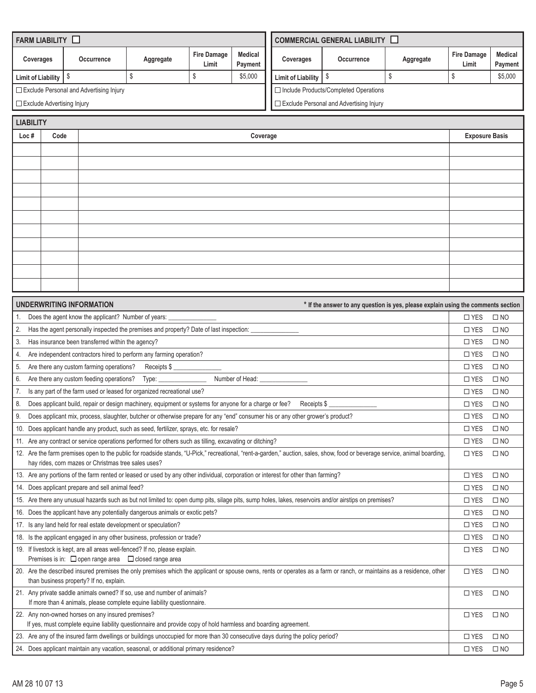|                           | FARM LIABILITY O                  |                                                                  |                                                                                                                                                    |                             |                           |                           | <b>COMMERCIAL GENERAL LIABILITY LE</b>                                                                                                                                      |                                                                                   |                             |                           |
|---------------------------|-----------------------------------|------------------------------------------------------------------|----------------------------------------------------------------------------------------------------------------------------------------------------|-----------------------------|---------------------------|---------------------------|-----------------------------------------------------------------------------------------------------------------------------------------------------------------------------|-----------------------------------------------------------------------------------|-----------------------------|---------------------------|
| Coverages                 |                                   | Occurrence                                                       | Aggregate                                                                                                                                          | <b>Fire Damage</b><br>Limit | <b>Medical</b><br>Payment | Coverages                 | Occurrence                                                                                                                                                                  | Aggregate                                                                         | <b>Fire Damage</b><br>Limit | <b>Medical</b><br>Payment |
| <b>Limit of Liability</b> |                                   | \$                                                               | \$                                                                                                                                                 | \$                          | \$5,000                   | <b>Limit of Liability</b> | \$                                                                                                                                                                          | $$\mathbb{S}$$                                                                    | \$                          | \$5,000                   |
|                           |                                   | □ Exclude Personal and Advertising Injury                        |                                                                                                                                                    |                             |                           |                           | □ Include Products/Completed Operations                                                                                                                                     |                                                                                   |                             |                           |
|                           | $\Box$ Exclude Advertising Injury |                                                                  |                                                                                                                                                    |                             |                           |                           | $\Box$ Exclude Personal and Advertising Injury                                                                                                                              |                                                                                   |                             |                           |
| <b>LIABILITY</b>          |                                   |                                                                  |                                                                                                                                                    |                             |                           |                           |                                                                                                                                                                             |                                                                                   |                             |                           |
| Loc#                      | Code                              |                                                                  |                                                                                                                                                    |                             | Coverage                  |                           |                                                                                                                                                                             |                                                                                   | <b>Exposure Basis</b>       |                           |
|                           |                                   |                                                                  |                                                                                                                                                    |                             |                           |                           |                                                                                                                                                                             |                                                                                   |                             |                           |
|                           |                                   |                                                                  |                                                                                                                                                    |                             |                           |                           |                                                                                                                                                                             |                                                                                   |                             |                           |
|                           |                                   |                                                                  |                                                                                                                                                    |                             |                           |                           |                                                                                                                                                                             |                                                                                   |                             |                           |
|                           |                                   |                                                                  |                                                                                                                                                    |                             |                           |                           |                                                                                                                                                                             |                                                                                   |                             |                           |
|                           |                                   |                                                                  |                                                                                                                                                    |                             |                           |                           |                                                                                                                                                                             |                                                                                   |                             |                           |
|                           |                                   |                                                                  |                                                                                                                                                    |                             |                           |                           |                                                                                                                                                                             |                                                                                   |                             |                           |
|                           |                                   |                                                                  |                                                                                                                                                    |                             |                           |                           |                                                                                                                                                                             |                                                                                   |                             |                           |
|                           |                                   |                                                                  |                                                                                                                                                    |                             |                           |                           |                                                                                                                                                                             |                                                                                   |                             |                           |
|                           |                                   |                                                                  |                                                                                                                                                    |                             |                           |                           |                                                                                                                                                                             |                                                                                   |                             |                           |
|                           |                                   |                                                                  |                                                                                                                                                    |                             |                           |                           |                                                                                                                                                                             |                                                                                   |                             |                           |
|                           |                                   |                                                                  |                                                                                                                                                    |                             |                           |                           |                                                                                                                                                                             |                                                                                   |                             |                           |
|                           |                                   |                                                                  |                                                                                                                                                    |                             |                           |                           |                                                                                                                                                                             |                                                                                   |                             |                           |
|                           |                                   | <b>UNDERWRITING INFORMATION</b>                                  |                                                                                                                                                    |                             |                           |                           |                                                                                                                                                                             | * If the answer to any question is yes, please explain using the comments section |                             |                           |
|                           |                                   | Does the agent know the applicant? Number of years:              |                                                                                                                                                    |                             |                           |                           |                                                                                                                                                                             |                                                                                   | $\Box$ YES                  | $\square$ NO              |
| 2.                        |                                   |                                                                  | Has the agent personally inspected the premises and property? Date of last inspection: _                                                           |                             |                           |                           |                                                                                                                                                                             |                                                                                   | $\square$ YES               | $\square$ NO              |
| 3.                        |                                   | Has insurance been transferred within the agency?                |                                                                                                                                                    |                             |                           |                           |                                                                                                                                                                             |                                                                                   | $\square$ YES               | $\square$ NO              |
| 4.                        |                                   |                                                                  | Are independent contractors hired to perform any farming operation?                                                                                |                             |                           |                           |                                                                                                                                                                             |                                                                                   | $\square$ YES               | $\square$ NO              |
| 5.                        |                                   | Are there any custom farming operations?                         | Receipts \$                                                                                                                                        |                             |                           |                           |                                                                                                                                                                             |                                                                                   | $\square$ YES               | $\square$ NO              |
| 6.                        |                                   | Are there any custom feeding operations? Type:                   |                                                                                                                                                    |                             | Number of Head: __        |                           |                                                                                                                                                                             |                                                                                   | $\square$ YES               | $\square$ NO              |
| 7.                        |                                   |                                                                  | Is any part of the farm used or leased for organized recreational use?                                                                             |                             |                           |                           |                                                                                                                                                                             |                                                                                   | $\square$ YES               | $\square$ NO              |
| 8.                        |                                   |                                                                  | Does applicant build, repair or design machinery, equipment or systems for anyone for a charge or fee?                                             |                             |                           | Receipts \$               |                                                                                                                                                                             |                                                                                   | $\square$ YES               | $\square$ NO              |
| 9.                        |                                   |                                                                  | Does applicant mix, process, slaughter, butcher or otherwise prepare for any "end" consumer his or any other grower's product?                     |                             |                           |                           |                                                                                                                                                                             |                                                                                   | $\square$ YES               | $\square$ NO              |
|                           |                                   |                                                                  | 10. Does applicant handle any product, such as seed, fertilizer, sprays, etc. for resale?                                                          |                             |                           |                           |                                                                                                                                                                             |                                                                                   | $\square$ YES               | $\square$ NO              |
|                           |                                   |                                                                  | 11. Are any contract or service operations performed for others such as tilling, excavating or ditching?                                           |                             |                           |                           |                                                                                                                                                                             |                                                                                   | $\Box$ YES                  | $\square$ NO              |
|                           |                                   | hay rides, corn mazes or Christmas tree sales uses?              |                                                                                                                                                    |                             |                           |                           | 12. Are the farm premises open to the public for roadside stands, "U-Pick," recreational, "rent-a-garden," auction, sales, show, food or beverage service, animal boarding, |                                                                                   | $\square$ YES               | $\square$ NO              |
|                           |                                   |                                                                  | 13. Are any portions of the farm rented or leased or used by any other individual, corporation or interest for other than farming?                 |                             |                           |                           |                                                                                                                                                                             |                                                                                   | $\square$ YES               | $\square$ NO              |
|                           |                                   | 14. Does applicant prepare and sell animal feed?                 |                                                                                                                                                    |                             |                           |                           |                                                                                                                                                                             |                                                                                   | $\square$ YES               | $\square$ NO              |
|                           |                                   |                                                                  |                                                                                                                                                    |                             |                           |                           | 15. Are there any unusual hazards such as but not limited to: open dump pits, silage pits, sump holes, lakes, reservoirs and/or airstips on premises?                       |                                                                                   | $\square$ YES               | $\square$ NO              |
|                           |                                   |                                                                  | 16. Does the applicant have any potentially dangerous animals or exotic pets?                                                                      |                             |                           |                           |                                                                                                                                                                             |                                                                                   | $\square$ YES               | $\square$ NO              |
|                           |                                   | 17. Is any land held for real estate development or speculation? |                                                                                                                                                    |                             |                           |                           |                                                                                                                                                                             |                                                                                   | $\square$ YES               | $\square$ NO              |
|                           |                                   |                                                                  | 18. Is the applicant engaged in any other business, profession or trade?                                                                           |                             |                           |                           |                                                                                                                                                                             |                                                                                   | $\square$ YES               | $\square$ NO              |
|                           |                                   |                                                                  | 19. If livestock is kept, are all areas well-fenced? If no, please explain.                                                                        |                             |                           |                           |                                                                                                                                                                             |                                                                                   | $\square$ YES               | $\square$ NO              |
|                           |                                   | Premises is in: $\Box$ open range area $\Box$ closed range area  |                                                                                                                                                    |                             |                           |                           |                                                                                                                                                                             |                                                                                   |                             |                           |
|                           |                                   | than business property? If no, explain.                          |                                                                                                                                                    |                             |                           |                           | 20. Are the described insured premises the only premises which the applicant or spouse owns, rents or operates as a farm or ranch, or maintains as a residence, other       |                                                                                   | $\square$ YES               | $\square$ NO              |
|                           |                                   |                                                                  | 21. Any private saddle animals owned? If so, use and number of animals?<br>If more than 4 animals, please complete equine liability questionnaire. |                             |                           |                           |                                                                                                                                                                             |                                                                                   | $\square$ YES               | $\square$ NO              |
|                           |                                   | 22. Any non-owned horses on any insured premises?                | If yes, must complete equine liability questionnaire and provide copy of hold harmless and boarding agreement.                                     |                             |                           |                           |                                                                                                                                                                             |                                                                                   | $\square$ YES               | $\square$ NO              |
|                           |                                   |                                                                  | 23. Are any of the insured farm dwellings or buildings unoccupied for more than 30 consecutive days during the policy period?                      |                             |                           |                           |                                                                                                                                                                             |                                                                                   | $\square$ YES               | $\square$ NO              |
|                           |                                   |                                                                  | 24. Does applicant maintain any vacation, seasonal, or additional primary residence?                                                               |                             |                           |                           |                                                                                                                                                                             |                                                                                   | $\square$ YES               | $\square$ NO              |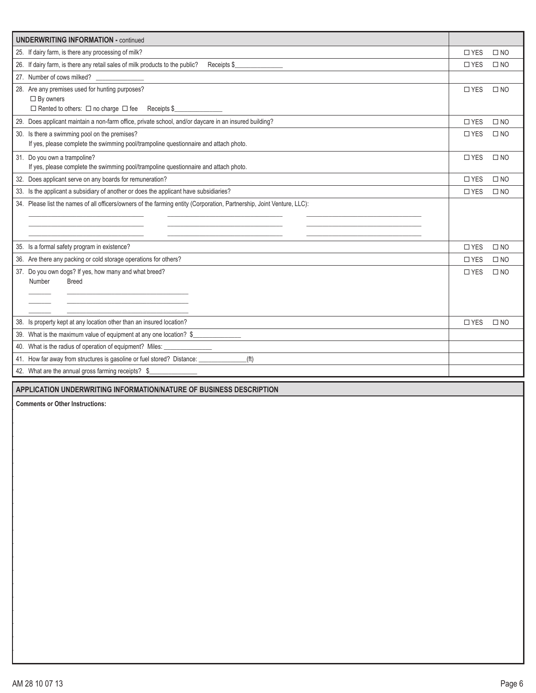| <b>UNDERWRITING INFORMATION - continued</b>                                                                            |               |              |
|------------------------------------------------------------------------------------------------------------------------|---------------|--------------|
| 25. If dairy farm, is there any processing of milk?                                                                    | $\square$ YES | $\square$ NO |
| 26. If dairy farm, is there any retail sales of milk products to the public?<br>Receipts \$                            | $\square$ YES | $\square$ NO |
| 27. Number of cows milked?                                                                                             |               |              |
| 28. Are any premises used for hunting purposes?                                                                        | $\square$ YES | $\square$ NO |
| $\Box$ By owners                                                                                                       |               |              |
| $\Box$ Rented to others: $\Box$ no charge $\Box$ fee Receipts \$                                                       |               |              |
| 29. Does applicant maintain a non-farm office, private school, and/or daycare in an insured building?                  | $\square$ YES | $\square$ NO |
| 30. Is there a swimming pool on the premises?                                                                          | $\square$ YES | $\square$ NO |
| If yes, please complete the swimming pool/trampoline questionnaire and attach photo.                                   |               |              |
| 31. Do you own a trampoline?                                                                                           | $\square$ YES | $\square$ NO |
| If yes, please complete the swimming pool/trampoline questionnaire and attach photo.                                   |               |              |
| 32. Does applicant serve on any boards for remuneration?                                                               | $\square$ YES | $\square$ NO |
| 33. Is the applicant a subsidiary of another or does the applicant have subsidiaries?                                  | $\square$ YES | $\Box$ NO    |
| 34. Please list the names of all officers/owners of the farming entity (Corporation, Partnership, Joint Venture, LLC): |               |              |
|                                                                                                                        |               |              |
|                                                                                                                        |               |              |
| 35. Is a formal safety program in existence?                                                                           | $\square$ YES | $\square$ NO |
| 36. Are there any packing or cold storage operations for others?                                                       | $\square$ YES | $\square$ NO |
| 37. Do you own dogs? If yes, how many and what breed?                                                                  | $\square$ YES | $\square$ NO |
| Number<br><b>Breed</b>                                                                                                 |               |              |
|                                                                                                                        |               |              |
|                                                                                                                        |               |              |
| 38. Is property kept at any location other than an insured location?                                                   | $\square$ YES | $\square$ NO |
| 39. What is the maximum value of equipment at any one location? \$                                                     |               |              |
| What is the radius of operation of equipment? Miles:<br>40.                                                            |               |              |
| 41. How far away from structures is gasoline or fuel stored? Distance: _________<br>(t)                                |               |              |
| 42. What are the annual gross farming receipts? \$                                                                     |               |              |
|                                                                                                                        |               |              |
| APPLICATION UNDERWRITING INFORMATION/NATURE OF BUSINESS DESCRIPTION                                                    |               |              |
| <b>Comments or Other Instructions:</b>                                                                                 |               |              |
|                                                                                                                        |               |              |
|                                                                                                                        |               |              |
|                                                                                                                        |               |              |
|                                                                                                                        |               |              |
|                                                                                                                        |               |              |
|                                                                                                                        |               |              |
|                                                                                                                        |               |              |
|                                                                                                                        |               |              |
|                                                                                                                        |               |              |
|                                                                                                                        |               |              |
|                                                                                                                        |               |              |
|                                                                                                                        |               |              |
|                                                                                                                        |               |              |
|                                                                                                                        |               |              |
|                                                                                                                        |               |              |
|                                                                                                                        |               |              |
|                                                                                                                        |               |              |
|                                                                                                                        |               |              |